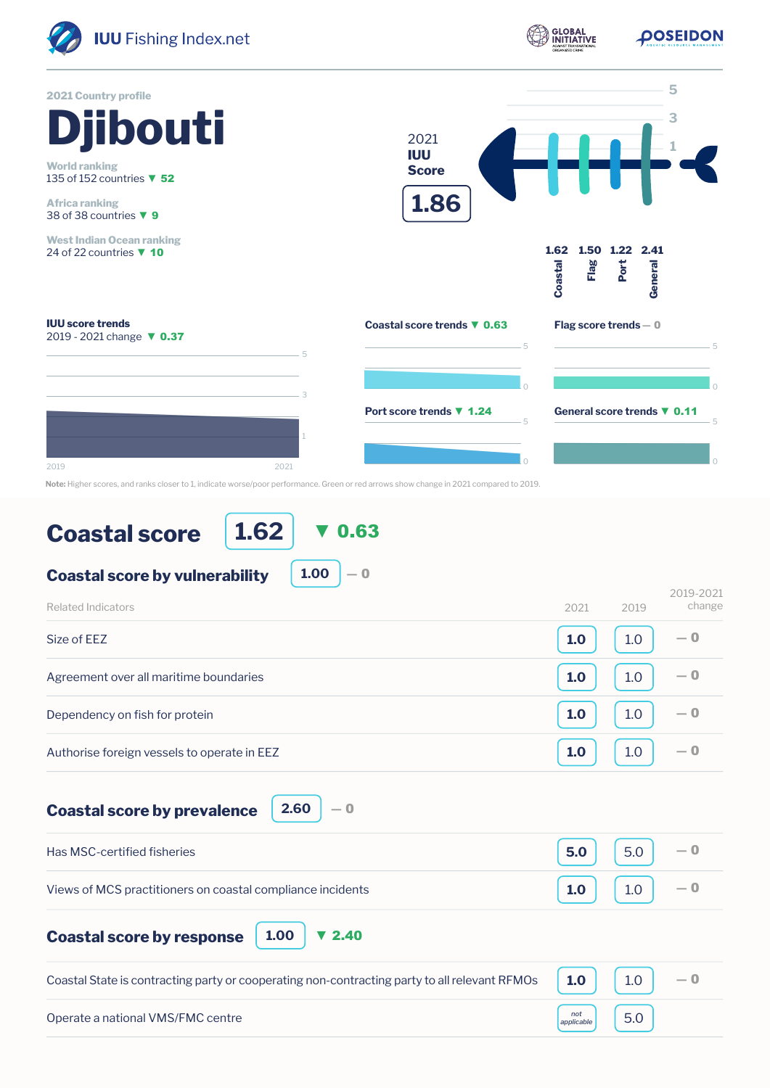

**1.62** ▼ 0.63

**1.00**

 $-0$ 

**Coastal score by vulnerability**

| Related Indicators                          | 2019-2021<br>change<br>2021<br>2019 |
|---------------------------------------------|-------------------------------------|
| Size of EEZ                                 | $-0$<br>1.0<br>1.0                  |
| Agreement over all maritime boundaries      | $-0$<br>1.0<br>1.0                  |
| Dependency on fish for protein              | $-0$<br>1.0<br>1.0                  |
| Authorise foreign vessels to operate in EEZ | $-0$<br>1.0<br>1.0                  |

**Coastal score by prevalence** 

|  | 2.60 |  |
|--|------|--|
|--|------|--|

| Has MSC-certified fisheries                                | $5.0$   5.0                                                                  |  |
|------------------------------------------------------------|------------------------------------------------------------------------------|--|
| Views of MCS practitioners on coastal compliance incidents | $\begin{bmatrix} 1.0 \end{bmatrix}$ $\begin{bmatrix} 1.0 \end{bmatrix}$ $-0$ |  |

**Coastal score by response**

**1.00** ▼ 2.40

| Coastal State is contracting party or cooperating non-contracting party to all relevant RFMOs $\parallel$ 1.0 |                   |  |
|---------------------------------------------------------------------------------------------------------------|-------------------|--|
| Operate a national VMS/FMC centre                                                                             | not<br>applicable |  |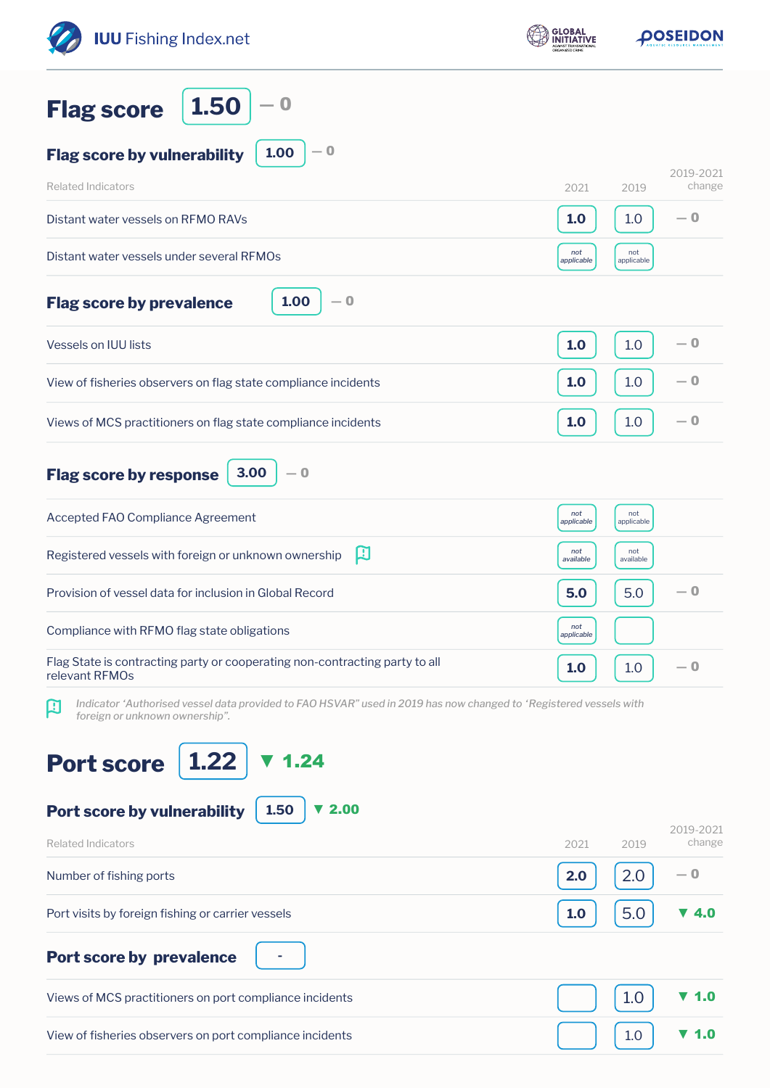| <b>IUU</b> Fishing Index.net                                                                                                                             | <b>GLOBAL</b><br>INITIATIVE |                   | <b>POSEIDON</b>     |
|----------------------------------------------------------------------------------------------------------------------------------------------------------|-----------------------------|-------------------|---------------------|
| 1.50<br>$\bf{0}$<br><b>Flag score</b>                                                                                                                    |                             |                   |                     |
| $-0$<br>1.00<br><b>Flag score by vulnerability</b>                                                                                                       |                             |                   |                     |
| <b>Related Indicators</b>                                                                                                                                | 2021                        | 2019              | 2019-2021<br>change |
| Distant water vessels on RFMO RAVs                                                                                                                       | 1.0                         | 1.0               | $-0$                |
| Distant water vessels under several RFMOs                                                                                                                | not<br>applicable           | not<br>applicable |                     |
| 1.00<br>— 0<br><b>Flag score by prevalence</b>                                                                                                           |                             |                   |                     |
| Vessels on IUU lists                                                                                                                                     | 1.0                         | 1.0               | — 0                 |
| View of fisheries observers on flag state compliance incidents                                                                                           | 1.0                         | 1.0               | $-0$                |
| Views of MCS practitioners on flag state compliance incidents                                                                                            | 1.0                         | 1.0               | — 0                 |
| 3.00<br>$-0$<br><b>Flag score by response</b>                                                                                                            |                             |                   |                     |
| Accepted FAO Compliance Agreement                                                                                                                        | not<br>applicable           | not<br>applicable |                     |
| 口<br>Registered vessels with foreign or unknown ownership                                                                                                | not<br>available            | not<br>available  |                     |
| Provision of vessel data for inclusion in Global Record                                                                                                  | 5.0                         | 5.0               | — 0                 |
| Compliance with RFMO flag state obligations                                                                                                              | not<br>applicable           |                   |                     |
| Flag State is contracting party or cooperating non-contracting party to all<br>relevant RFMOs                                                            | 1.0                         | 1.0               | $-0$                |
| Indicator 'Authorised vessel data provided to FAO HSVAR" used in 2019 has now changed to 'Registered vessels with<br>口<br>foreign or unknown ownership". |                             |                   |                     |
| 1.22<br><b>Port score</b><br>1.24                                                                                                                        |                             |                   |                     |
| 1.50<br>2.00<br>Port score by vulnerability                                                                                                              |                             |                   | 2019-2021           |
| <b>Related Indicators</b>                                                                                                                                | 2021                        | 2019              | change              |
| Number of fishing ports                                                                                                                                  | 2.0                         | 2.0               | — 0                 |
| Port visits by foreign fishing or carrier vessels                                                                                                        | 1.0                         | 5.0               | ▼ 4.0               |
| <b>Port score by prevalence</b>                                                                                                                          |                             |                   |                     |
| Views of MCS practitioners on port compliance incidents                                                                                                  |                             | 1.0               | 1.0                 |
| View of fisheries observers on port compliance incidents                                                                                                 |                             | 1.0               | 1.0                 |